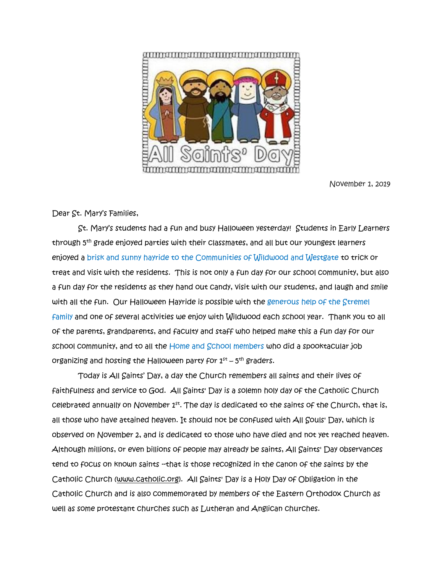

November 1, 2019

Dear St. Mary's Families,

 St. Mary's students had a fun and busy Halloween yesterday! Students in Early Learners through 5th grade enjoyed parties with their classmates, and all but our youngest learners enjoyed a brisk and sunny hayride to the Communities of Wildwood and Westgate to trick or treat and visit with the residents. This is not only a fun day for our school community, but also a fun day for the residents as they hand out candy, visit with our students, and laugh and smile with all the fun. Our Halloween Hayride is possible with the generous help of the Stremel family and one of several activities we enjoy with Wildwood each school year. Thank you to all of the parents, grandparents, and faculty and staff who helped make this a fun day for our school community, and to all the Home and School members who did a spooktacular job organizing and hosting the Halloween party for  $1^\mathrm{st}$  –  $5^\mathrm{th}$  graders.

Today is All Saints' Day, a day the Church remembers all saints and their lives of faithfulness and service to God. All Saints' Day is a solemn holy day of the Catholic Church celebrated annually on November 1st. The day is dedicated to the saints of the Church, that is, all those who have attained heaven. It should not be confused with All Souls' Day, which is observed on November 2, and is dedicated to those who have died and not yet reached heaven. Although millions, or even billions of people may already be saints, All Saints' Day observances tend to focus on known saints --that is those recognized in the canon of the saints by the Catholic Church [\(www.catholic.org\).](http://www.catholic.org/) All Saints' Day is a Holy Day of Obligation in the Catholic Church and is also commemorated by members of the Eastern Orthodox Church as well as some protestant churches such as Lutheran and Anglican churches.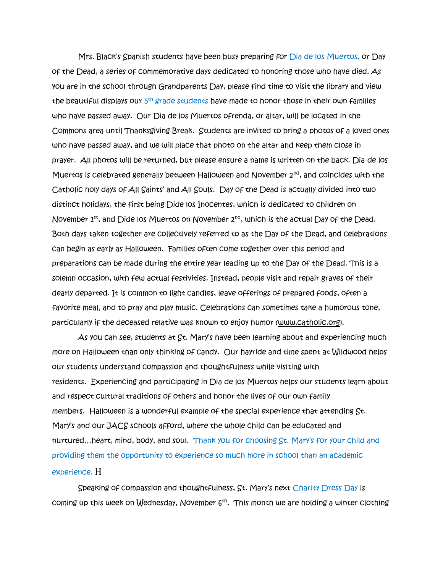Mrs. Black's Spanish students have been busy preparing for Dia de los Muertos, or Day of the Dead, a series of commemorative days dedicated to honoring those who have died. As you are in the school through Grandparents Day, please find time to visit the library and view the beautiful displays our 5<sup>th</sup> grade students have made to honor those in their own families who have passed away. Our Dia de los Muertos ofrenda, or altar, will be located in the Commons area until Thanksgiving Break. Students are invited to bring a photos of a loved ones who have passed away, and we will place that photo on the altar and keep them close in prayer. All photos will be returned, but please ensure a name is written on the back. Dia de los Muertos is celebrated generally between Halloween and November 2<sup>nd</sup>, and coincides with the Catholic holy days of All Saints' and All Souls. Day of the Dead is actually divided into two distinct holidays, the first being Dide los Inocentes, which is dedicated to children on November 1st, and Dide los Muertos on November 2<sup>nd</sup>, which is the actual Day of the Dead. Both days taken together are collectively referred to as the Day of the Dead, and celebrations can begin as early as Halloween. Families often come together over this period and preparations can be made during the entire year leading up to the Day of the Dead. This is a solemn occasion, with few actual festivities. Instead, people visit and repair graves of their dearly departed. It is common to light candles, leave offerings of prepared foods, often a favorite meal, and to pray and play music. Celebrations can sometimes take a humorous tone, particularly if the deceased relative was known to enjoy humor [\(www.catholic.org\)](http://www.catholic.org/).

As you can see, students at St. Mary's have been learning about and experiencing much more on Halloween than only thinking of candy. Our hayride and time spent at Wildwood helps our students understand compassion and thoughtfulness while visiting with residents. Experiencing and participating in Dia de los Muertos helps our students learn about and respect cultural traditions of others and honor the lives of our own family members. Halloween is a wonderful example of the special experience that attending St. Mary's and our JACS schools afford, where the whole child can be educated and nurtured…heart, mind, body, and soul. Thank you for choosing St. Mary's for your child and providing them the opportunity to experience so much more in school than an academic experience. H

 Speaking of compassion and thoughtfulness, St. Mary's next Charity Dress Day is coming up this week on Wednesday, November  $6^{\text{th}}$ . This month we are holding a winter clothing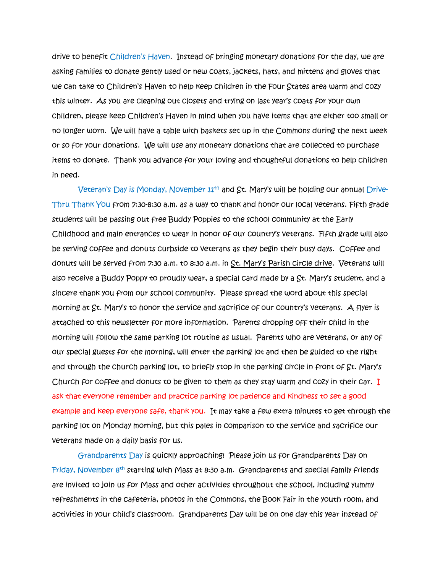drive to benefit Children's Haven. Instead of bringing monetary donations for the day, we are asking families to donate gently used or new coats, jackets, hats, and mittens and gloves that we can take to Children's Haven to help keep children in the Four States area warm and cozy this winter. As you are cleaning out closets and trying on last year's coats for your own children, please keep Children's Haven in mind when you have items that are either too small or no longer worn. We will have a table with baskets set up in the Commons during the next week or so for your donations. We will use any monetary donations that are collected to purchase items to donate. Thank you advance for your loving and thoughtful donations to help children in need.

Veteran's Day is Monday, November  $11<sup>th</sup>$  and  $S<sup>t</sup>$ . Mary's will be holding our annual Drive-Thru Thank You from 7:30-8:30 a.m. as a way to thank and honor our local veterans. Fifth grade students will be passing out free Buddy Poppies to the school community at the Early Childhood and main entrances to wear in honor of our country's veterans. Fifth grade will also be serving coffee and donuts curbside to veterans as they begin their busy days. Coffee and donuts will be served from 7:30 a.m. to 8:30 a.m. in St. Mary's Parish circle drive. Veterans will also receive a Buddy Poppy to proudly wear, a special card made by a St. Mary's student, and a sincere thank you from our school community. Please spread the word about this special morning at St. Mary's to honor the service and sacrifice of our country's veterans. A flyer is attached to this newsletter for more information. Parents dropping off their child in the morning will follow the same parking lot routine as usual. Parents who are veterans, or any of our special guests for the morning, will enter the parking lot and then be guided to the right and through the church parking lot, to briefly stop in the parking circle in front of St. Mary's Church for coffee and donuts to be given to them as they stay warm and cozy in their car. I ask that everyone remember and practice parking lot patience and kindness to set a good example and keep everyone safe, thank you. It may take a few extra minutes to get through the parking lot on Monday morning, but this pales in comparison to the service and sacrifice our veterans made on a daily basis for us.

 Grandparents Day is quickly approaching! Please join us for Grandparents Day on Friday, November  $8<sup>th</sup>$  starting with Mass at 8:30 a.m. Grandparents and special family friends are invited to join us for Mass and other activities throughout the school, including yummy refreshments in the cafeteria, photos in the Commons, the Book Fair in the youth room, and activities in your child's classroom. Grandparents Day will be on one day this year instead of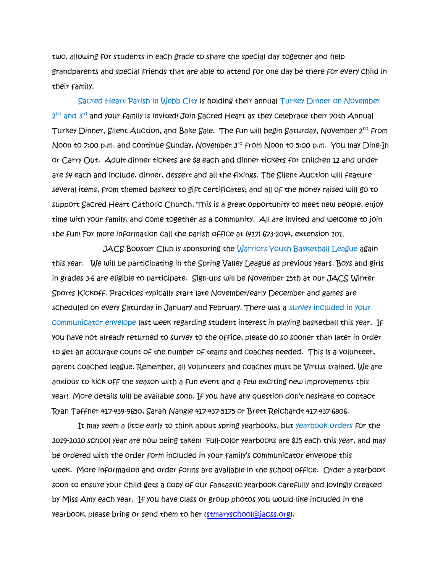two, allowing for students in each grade to share the special day together and help grandparents and special friends that are able to attend for one day be there for every child in their family.

 Sacred Heart Parish in Webb City is holding their annual Turkey Dinner on November 2<sup>nd</sup> and 3<sup>rd</sup> and your family is invited! Join Sacred Heart as they celebrate their 70th Annual Turkey Dinner, Silent Auction, and Bake Sale. The fun will begin Saturday, November 2<sup>nd</sup> from Noon to 7:00 p.m. and continue Sunday, November 3<sup>rd</sup> from Noon to 5:00 p.m. You may Dine-In or Carry Out. Adult dinner tickets are \$8 each and dinner tickets for children 12 and under are \$4 each and include, dinner, dessert and all the fixings. The Silent Auction will feature several items, from themed baskets to gift certificates; and all of the money raised will go to support Sacred Heart Catholic Church. This is a great opportunity to meet new people, enjoy time with your family, and come together as a community. All are invited and welcome to join the fun! For more information call the parish office at (417) 673-2044, extension 101.

**JACS Booster Club is sponsoring the Warriors Youth Basketball League again** this year. We will be participating in the Spring Valley League as previous years. Boys and girls in grades 3-6 are eligible to participate. Sign-ups will be November 15th at our JACS Winter Sports Kickoff. Practices typically start late November/early December and games are scheduled on every Saturday in January and February. There was a survey included in your communicator envelope last week regarding student interest in playing basketball this year. If you have not already returned to survey to the office, please do so sooner than later in order to get an accurate count of the number of teams and coaches needed. This is a volunteer, parent coached league. Remember, all volunteers and coaches must be Virtus trained. We are anxious to kick off the season with a fun event and a few exciting new improvements this year! More details will be available soon. If you have any question don't hesitate to contact Ryan Taffner 417-439-9650, Sarah Nangle 417-437-5175 or Brett Reichardt 417-437-6806.

It may seem a little early to think about spring yearbooks, but yearbook orders for the 2019-2020 school year are now being taken! Full-color yearbooks are \$15 each this year, and may be ordered with the order form included in your family's communicator envelope this week. More information and order forms are available in the school office. Order a yearbook soon to ensure your child gets a copy of our fantastic yearbook carefully and lovingly created by Miss Amy each year. If you have class or group photos you would like included in the yearbook, please bring or send them to her [\(stmaryschool@jacss.org\)](mailto:stmaryschool@jacss.org).